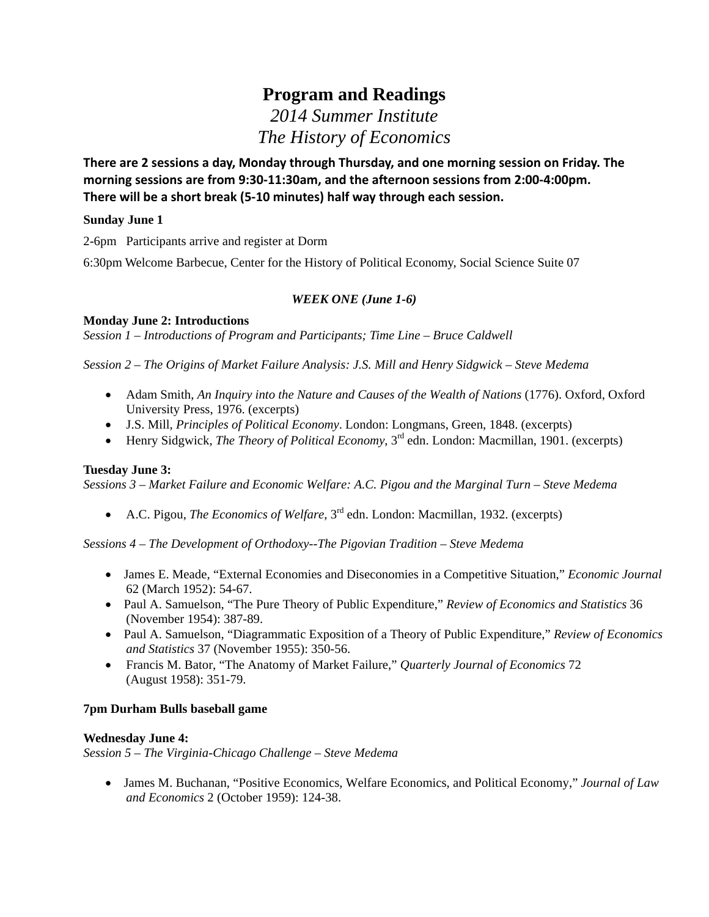# **Program and Readings**  *2014 Summer Institute*

*The History of Economics*

**There are 2 sessions a day, Monday through Thursday, and one morning session on Friday. The morning sessions are from 9:30‐11:30am, and the afternoon sessions from 2:00‐4:00pm. There will be a short break (5‐10 minutes) half way through each session.**

# **Sunday June 1**

2-6pm Participants arrive and register at Dorm

6:30pm Welcome Barbecue, Center for the History of Political Economy, Social Science Suite 07

# *WEEK ONE (June 1-6)*

**Monday June 2: Introductions**

*Session 1 – Introductions of Program and Participants; Time Line – Bruce Caldwell* 

*Session 2 – The Origins of Market Failure Analysis: J.S. Mill and Henry Sidgwick – Steve Medema* 

- Adam Smith, *An Inquiry into the Nature and Causes of the Wealth of Nations* (1776). Oxford, Oxford University Press, 1976. (excerpts)
- J.S. Mill, *Principles of Political Economy*. London: Longmans, Green, 1848. (excerpts)
- Henry Sidgwick, *The Theory of Political Economy*, 3rd edn. London: Macmillan, 1901. (excerpts)

# **Tuesday June 3:**

*Sessions 3 – Market Failure and Economic Welfare: A.C. Pigou and the Marginal Turn – Steve Medema* 

A.C. Pigou, *The Economics of Welfare*, 3rd edn. London: Macmillan, 1932. (excerpts)

*Sessions 4 – The Development of Orthodoxy--The Pigovian Tradition – Steve Medema* 

- James E. Meade, "External Economies and Diseconomies in a Competitive Situation," *Economic Journal* 62 (March 1952): 54-67.
- Paul A. Samuelson, "The Pure Theory of Public Expenditure," *Review of Economics and Statistics* 36 (November 1954): 387-89.
- Paul A. Samuelson, "Diagrammatic Exposition of a Theory of Public Expenditure," *Review of Economics and Statistics* 37 (November 1955): 350-56.
- Francis M. Bator, "The Anatomy of Market Failure," *Quarterly Journal of Economics* 72 (August 1958): 351-79.

# **7pm Durham Bulls baseball game**

# **Wednesday June 4:**

*Session 5 – The Virginia-Chicago Challenge – Steve Medema* 

 James M. Buchanan, "Positive Economics, Welfare Economics, and Political Economy," *Journal of Law and Economics* 2 (October 1959): 124-38.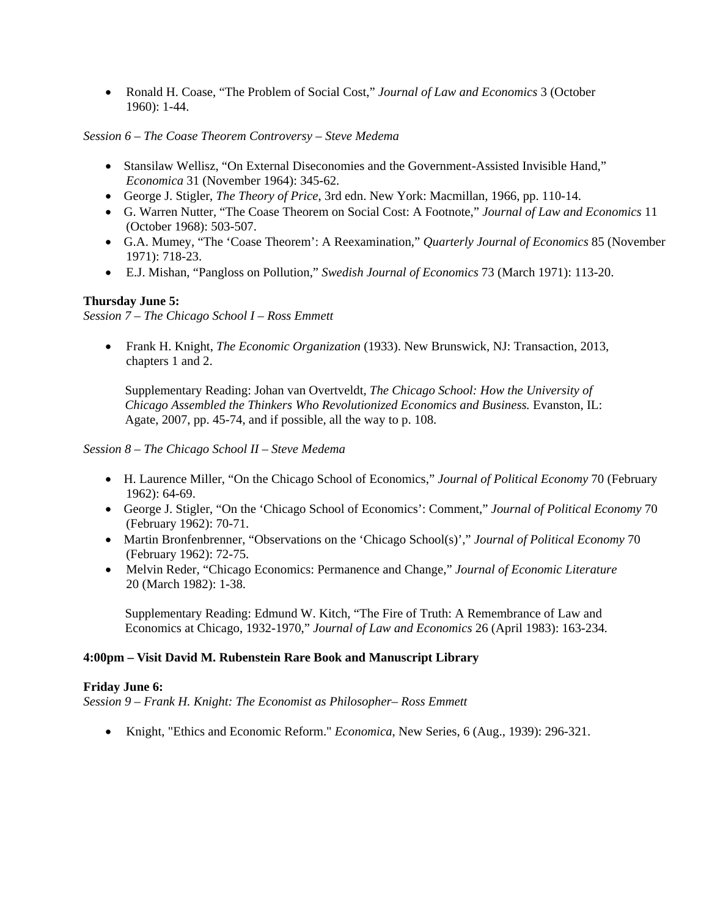Ronald H. Coase, "The Problem of Social Cost," *Journal of Law and Economics* 3 (October 1960): 1-44.

*Session 6 – The Coase Theorem Controversy – Steve Medema* 

- Stansilaw Wellisz, "On External Diseconomies and the Government-Assisted Invisible Hand," *Economica* 31 (November 1964): 345-62.
- George J. Stigler, *The Theory of Price*, 3rd edn. New York: Macmillan, 1966, pp. 110-14.
- G. Warren Nutter, "The Coase Theorem on Social Cost: A Footnote," *Journal of Law and Economics* 11 (October 1968): 503-507.
- G.A. Mumey, "The 'Coase Theorem': A Reexamination," *Quarterly Journal of Economics* 85 (November 1971): 718-23.
- E.J. Mishan, "Pangloss on Pollution," *Swedish Journal of Economics* 73 (March 1971): 113-20.

# **Thursday June 5:**

*Session 7 – The Chicago School I – Ross Emmett* 

 Frank H. Knight, *The Economic Organization* (1933). New Brunswick, NJ: Transaction, 2013, chapters 1 and 2.

Supplementary Reading: Johan van Overtveldt*, The Chicago School: How the University of Chicago Assembled the Thinkers Who Revolutionized Economics and Business.* Evanston, IL: Agate, 2007, pp. 45-74, and if possible, all the way to p. 108.

*Session 8 – The Chicago School II – Steve Medema* 

- H. Laurence Miller, "On the Chicago School of Economics," *Journal of Political Economy* 70 (February 1962): 64-69.
- George J. Stigler, "On the 'Chicago School of Economics': Comment," *Journal of Political Economy* 70 (February 1962): 70-71.
- Martin Bronfenbrenner, "Observations on the 'Chicago School(s)'," *Journal of Political Economy* 70 (February 1962): 72-75.
- Melvin Reder, "Chicago Economics: Permanence and Change," *Journal of Economic Literature* 20 (March 1982): 1-38.

Supplementary Reading: Edmund W. Kitch, "The Fire of Truth: A Remembrance of Law and Economics at Chicago, 1932-1970," *Journal of Law and Economics* 26 (April 1983): 163-234*.* 

# **4:00pm – Visit David M. Rubenstein Rare Book and Manuscript Library**

#### **Friday June 6:**

*Session 9 – Frank H. Knight: The Economist as Philosopher– Ross Emmett* 

Knight, "Ethics and Economic Reform." *Economica*, New Series, 6 (Aug., 1939): 296-321.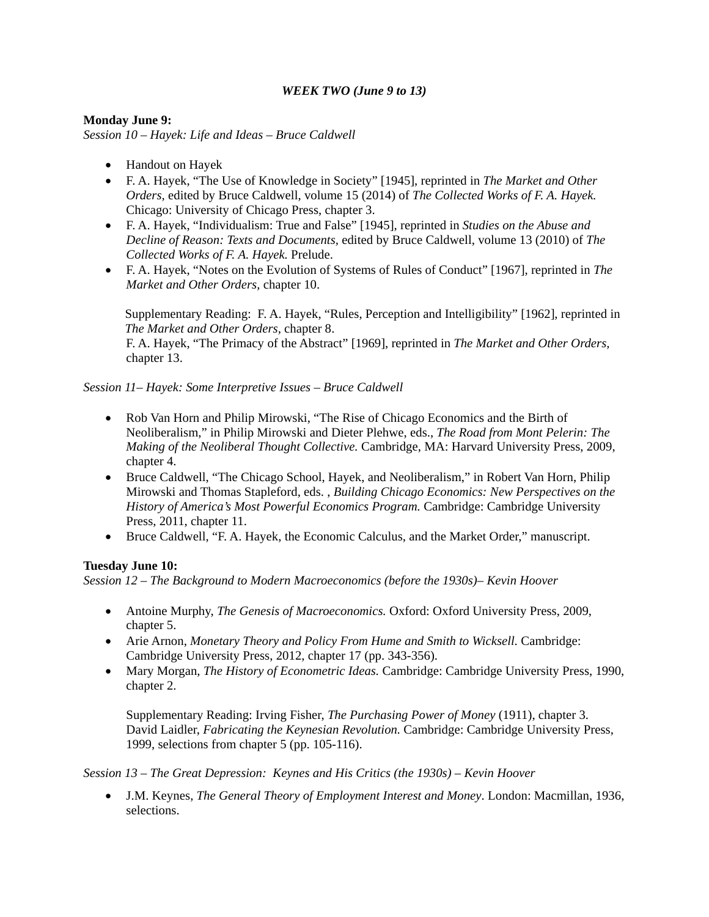# *WEEK TWO (June 9 to 13)*

# **Monday June 9:**

*Session 10 – Hayek: Life and Ideas – Bruce Caldwell* 

- Handout on Hayek
- F. A. Hayek, "The Use of Knowledge in Society" [1945], reprinted in *The Market and Other Orders,* edited by Bruce Caldwell, volume 15 (2014) of *The Collected Works of F. A. Hayek.*  Chicago: University of Chicago Press, chapter 3.
- F. A. Hayek, "Individualism: True and False" [1945], reprinted in *Studies on the Abuse and Decline of Reason: Texts and Documents,* edited by Bruce Caldwell, volume 13 (2010) of *The Collected Works of F. A. Hayek.* Prelude.
- F. A. Hayek, "Notes on the Evolution of Systems of Rules of Conduct" [1967], reprinted in *The Market and Other Orders,* chapter 10.

Supplementary Reading: F. A. Hayek, "Rules, Perception and Intelligibility" [1962], reprinted in *The Market and Other Orders,* chapter 8.

F. A. Hayek, "The Primacy of the Abstract" [1969], reprinted in *The Market and Other Orders,*  chapter 13.

# *Session 11– Hayek: Some Interpretive Issues – Bruce Caldwell*

- Rob Van Horn and Philip Mirowski, "The Rise of Chicago Economics and the Birth of Neoliberalism," in Philip Mirowski and Dieter Plehwe, eds., *The Road from Mont Pelerin: The Making of the Neoliberal Thought Collective.* Cambridge, MA: Harvard University Press, 2009, chapter 4.
- Bruce Caldwell, "The Chicago School, Hayek, and Neoliberalism," in Robert Van Horn, Philip Mirowski and Thomas Stapleford, eds. , *Building Chicago Economics: New Perspectives on the History of America's Most Powerful Economics Program.* Cambridge: Cambridge University Press, 2011, chapter 11.
- Bruce Caldwell, "F. A. Hayek, the Economic Calculus, and the Market Order," manuscript.

# **Tuesday June 10:**

*Session 12 – The Background to Modern Macroeconomics (before the 1930s)– Kevin Hoover* 

- Antoine Murphy, *The Genesis of Macroeconomics.* Oxford: Oxford University Press, 2009, chapter 5.
- Arie Arnon, *Monetary Theory and Policy From Hume and Smith to Wicksell.* Cambridge: Cambridge University Press, 2012, chapter 17 (pp. 343-356).
- Mary Morgan, *The History of Econometric Ideas.* Cambridge: Cambridge University Press, 1990, chapter 2.

Supplementary Reading: Irving Fisher, *The Purchasing Power of Money* (1911), chapter 3. David Laidler, *Fabricating the Keynesian Revolution.* Cambridge: Cambridge University Press, 1999, selections from chapter 5 (pp. 105-116).

*Session 13 – The Great Depression: Keynes and His Critics (the 1930s) – Kevin Hoover* 

 J.M. Keynes, *The General Theory of Employment Interest and Money*. London: Macmillan, 1936, selections.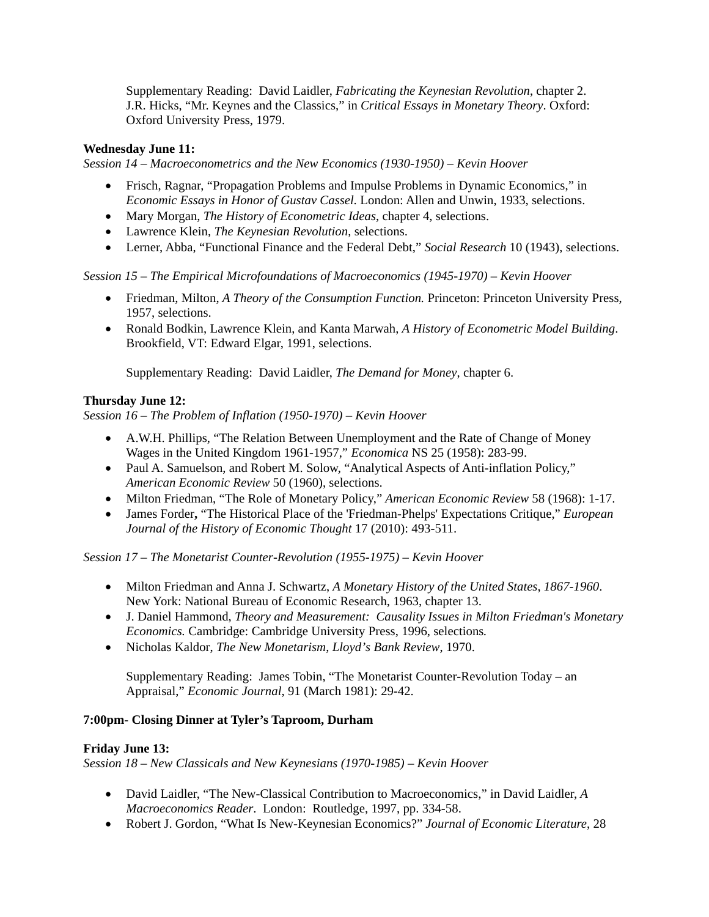Supplementary Reading: David Laidler, *Fabricating the Keynesian Revolution*, chapter 2. J.R. Hicks, "Mr. Keynes and the Classics," in *Critical Essays in Monetary Theory*. Oxford: Oxford University Press, 1979.

# **Wednesday June 11:**

*Session 14 – Macroeconometrics and the New Economics (1930-1950) – Kevin Hoover* 

- Frisch, Ragnar, "Propagation Problems and Impulse Problems in Dynamic Economics," in *Economic Essays in Honor of Gustav Cassel.* London: Allen and Unwin, 1933, selections.
- Mary Morgan, *The History of Econometric Ideas*, chapter 4, selections.
- Lawrence Klein, *The Keynesian Revolution*, selections.
- Lerner, Abba, "Functional Finance and the Federal Debt," *Social Research* 10 (1943), selections.

*Session 15 – The Empirical Microfoundations of Macroeconomics (1945-1970) – Kevin Hoover* 

- Friedman, Milton, *A Theory of the Consumption Function.* Princeton: Princeton University Press, 1957, selections.
- Ronald Bodkin, Lawrence Klein, and Kanta Marwah, *A History of Econometric Model Building*. Brookfield, VT: Edward Elgar, 1991, selections.

Supplementary Reading: David Laidler, *The Demand for Money*, chapter 6.

# **Thursday June 12:**

*Session 16 – The Problem of Inflation (1950-1970) – Kevin Hoover* 

- A.W.H. Phillips, "The Relation Between Unemployment and the Rate of Change of Money Wages in the United Kingdom 1961-1957," *Economica* NS 25 (1958): 283-99.
- Paul A. Samuelson, and Robert M. Solow, "Analytical Aspects of Anti-inflation Policy," *American Economic Review* 50 (1960), selections.
- Milton Friedman, "The Role of Monetary Policy," *American Economic Review* 58 (1968): 1-17.
- James Forder**,** "The Historical Place of the 'Friedman-Phelps' Expectations Critique," *European Journal of the History of Economic Thought* 17 (2010): 493-511.

*Session 17 – The Monetarist Counter-Revolution (1955-1975) – Kevin Hoover*

- Milton Friedman and Anna J. Schwartz, *A Monetary History of the United States*, *1867-1960*. New York: National Bureau of Economic Research, 1963, chapter 13.
- J. Daniel Hammond, *Theory and Measurement: Causality Issues in Milton Friedman's Monetary Economics.* Cambridge: Cambridge University Press, 1996, selections*.*
- Nicholas Kaldor, *The New Monetarism*, *Lloyd's Bank Review*, 1970.

Supplementary Reading: James Tobin, "The Monetarist Counter-Revolution Today – an Appraisal," *Economic Journal*, 91 (March 1981): 29-42.

# **7:00pm- Closing Dinner at Tyler's Taproom, Durham**

# **Friday June 13:**

*Session 18 – New Classicals and New Keynesians (1970-1985) – Kevin Hoover* 

- David Laidler, "The New-Classical Contribution to Macroeconomics," in David Laidler, *A Macroeconomics Reader*. London: Routledge, 1997, pp. 334-58.
- Robert J. Gordon, "What Is New-Keynesian Economics?" *Journal of Economic Literature*, 28